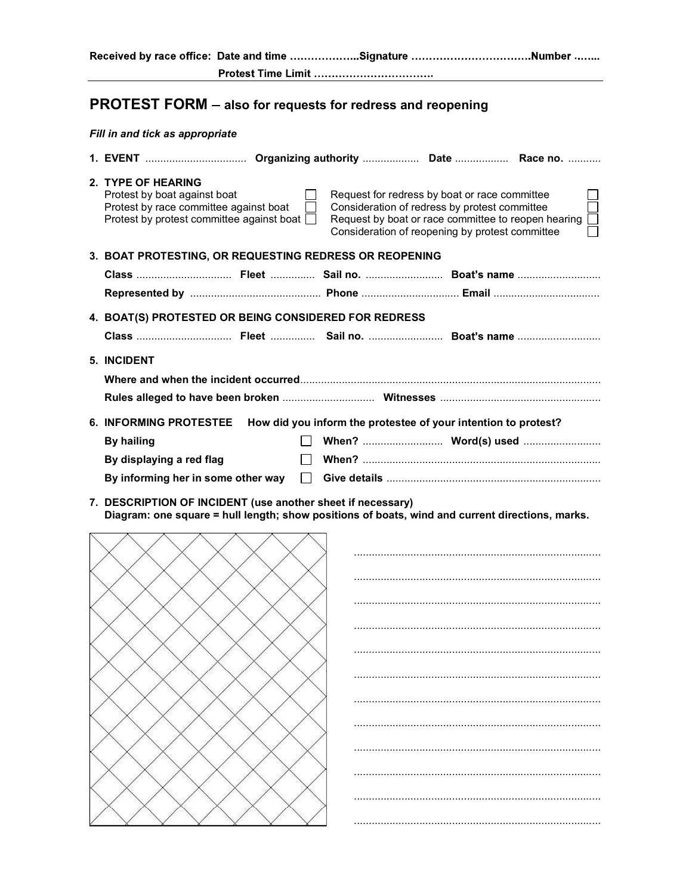Received by race office: Date and time ...................Signature ...............................Number .......

## PROTEST FORM also for requests for redress and reopening

## Fill in and tick as appropriate

| 1. EVENT  Organizing authority  Date  Race no.                                                                                                                                                                                                                                                                                                               |  |  |  |  |  |  |
|--------------------------------------------------------------------------------------------------------------------------------------------------------------------------------------------------------------------------------------------------------------------------------------------------------------------------------------------------------------|--|--|--|--|--|--|
| 2. TYPE OF HEARING<br>Request for redress by boat or race committee<br>Protest by boat against boat<br>Protest by race committee against boat<br>Consideration of redress by protest committee<br>Protest by protest committee against boat $\Box$<br>Request by boat or race committee to reopen hearing<br>Consideration of reopening by protest committee |  |  |  |  |  |  |
| 3. BOAT PROTESTING, OR REQUESTING REDRESS OR REOPENING                                                                                                                                                                                                                                                                                                       |  |  |  |  |  |  |
| Class  Fleet  Sail no.  Boat's name                                                                                                                                                                                                                                                                                                                          |  |  |  |  |  |  |
| 4. BOAT(S) PROTESTED OR BEING CONSIDERED FOR REDRESS                                                                                                                                                                                                                                                                                                         |  |  |  |  |  |  |
| <b>5. INCIDENT</b>                                                                                                                                                                                                                                                                                                                                           |  |  |  |  |  |  |
| <b>6. INFORMING PROTESTEE</b><br>How did you inform the protestee of your intention to protest?                                                                                                                                                                                                                                                              |  |  |  |  |  |  |
| <b>By hailing</b><br>By displaying a red flag<br>By informing her in some other way                                                                                                                                                                                                                                                                          |  |  |  |  |  |  |
|                                                                                                                                                                                                                                                                                                                                                              |  |  |  |  |  |  |

7. DESCRIPTION OF INCIDENT (use another sheet if necessary) Diagram: one square = hull length; show positions of boats, wind and current directions, marks.